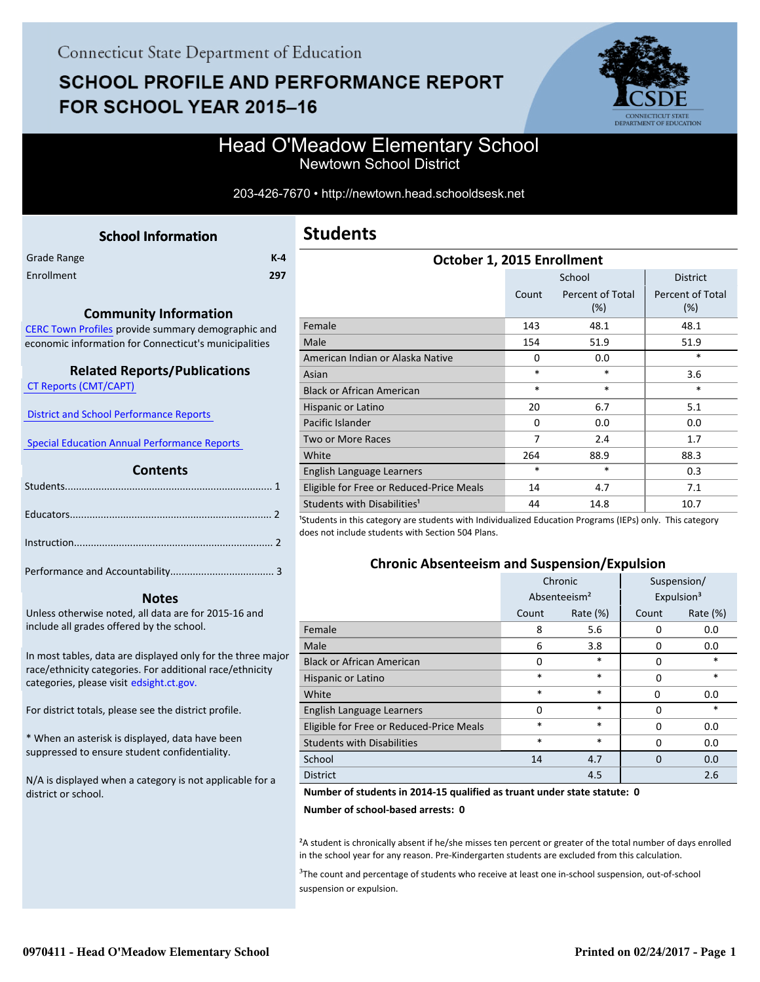# **SCHOOL PROFILE AND PERFORMANCE REPORT** FOR SCHOOL YEAR 2015-16



### Head O'Meadow Elementary School Newtown School District

203-426-7670 • http://newtown.head.schooldsesk.net

<span id="page-0-0"></span>

|             | <b>School Information</b> |         |
|-------------|---------------------------|---------|
| Grade Range |                           | $K - 4$ |
| Enrollment  |                           | 297     |

#### **Community Information**

[CERC Town Profiles provide summary demographic and](http://www.cerc.com/townprofiles/) economic information for Connecticut's municipalities

#### **Related Reports/Publications**

 [CT Reports \(CMT/CAPT\)](http://ctreports.com/) 

 [District and School Performance Reports](http://www.csde.state.ct.us/public/performancereports/reports.asp) 

 [Special Education Annual Performance Reports](http://edsight.ct.gov/SASPortal/main.do) 

#### **Contents**

 **Notes**

Performance and Accountability..................................... 3 .

Unless otherwise noted, all data are for 2015-16 and include all grades offered by the school.

[In most tables, data are displayed only for the three major](http://edsight.ct.gov/) race/ethnicity categories. For additional race/ethnicity categories, please visit edsight.ct.gov.

For district totals, please see the district profile.

\* When an asterisk is displayed, data have been suppressed to ensure student confidentiality.

N/A is displayed when a category is not applicable for a district or school.

## **Students**

| October 1, 2015 Enrollment               |                               |                         |                                |  |
|------------------------------------------|-------------------------------|-------------------------|--------------------------------|--|
|                                          |                               | School                  | <b>District</b>                |  |
|                                          | Count                         | Percent of Total<br>(%) | <b>Percent of Total</b><br>(%) |  |
| Female                                   | 143                           | 48.1                    | 48.1                           |  |
| Male                                     | 154                           | 51.9                    | 51.9                           |  |
| American Indian or Alaska Native         | $\Omega$                      | 0.0                     | *                              |  |
| Asian                                    | $\ast$                        | *                       | 3.6                            |  |
| <b>Black or African American</b>         | $\ast$                        | *                       | $\ast$                         |  |
| Hispanic or Latino                       | 20                            | 6.7                     | 5.1                            |  |
| Pacific Islander                         | $\Omega$                      | 0.0                     | 0.0                            |  |
| <b>Two or More Races</b>                 | 7                             | 2.4                     | 1.7                            |  |
| White                                    | 264                           | 88.9                    | 88.3                           |  |
| English Language Learners                | $\ast$                        | *                       | 0.3                            |  |
| Eligible for Free or Reduced-Price Meals | 14                            | 4.7                     | 7.1                            |  |
| Students with Disabilities <sup>1</sup>  | 44<br>$\cdot$ $\cdot$ $\cdot$ | 14.8                    | 10.7<br>$\lambda$              |  |

<sup>1</sup>Students in this category are students with Individualized Education Programs (IEPs) only. This category does not include students with Section 504 Plans.

#### **Chronic Absenteeism and Suspension/Expulsion**

|                                          | Chronic                  |             |          | Suspension/            |
|------------------------------------------|--------------------------|-------------|----------|------------------------|
|                                          | Absenteeism <sup>2</sup> |             |          | Expulsion <sup>3</sup> |
|                                          | Count                    | Rate $(\%)$ | Count    | Rate $(\%)$            |
| Female                                   | 8                        | 5.6         | 0        | 0.0                    |
| Male                                     | 6                        | 3.8         | 0        | 0.0                    |
| <b>Black or African American</b>         | 0                        | $\ast$      | 0        | $\ast$                 |
| Hispanic or Latino                       | *                        | $\ast$      | 0        | $\ast$                 |
| White                                    | *                        | $\ast$      | 0        | 0.0                    |
| English Language Learners                | O                        | $\ast$      | 0        | $\ast$                 |
| Eligible for Free or Reduced-Price Meals | *                        | $\ast$      | 0        | 0.0                    |
| <b>Students with Disabilities</b>        | *                        | $\ast$      | 0        | 0.0                    |
| School                                   | 14                       | 4.7         | $\Omega$ | 0.0                    |
| <b>District</b>                          |                          | 4.5         |          | 2.6                    |

#### **Number of students in 2014-15 qualified as truant under state statute: 0**

**Number of school-based arrests: 0**

²A student is chronically absent if he/she misses ten percent or greater of the total number of days enrolled in the school year for any reason. Pre-Kindergarten students are excluded from this calculation.

<sup>3</sup>The count and percentage of students who receive at least one in-school suspension, out-of-school suspension or expulsion.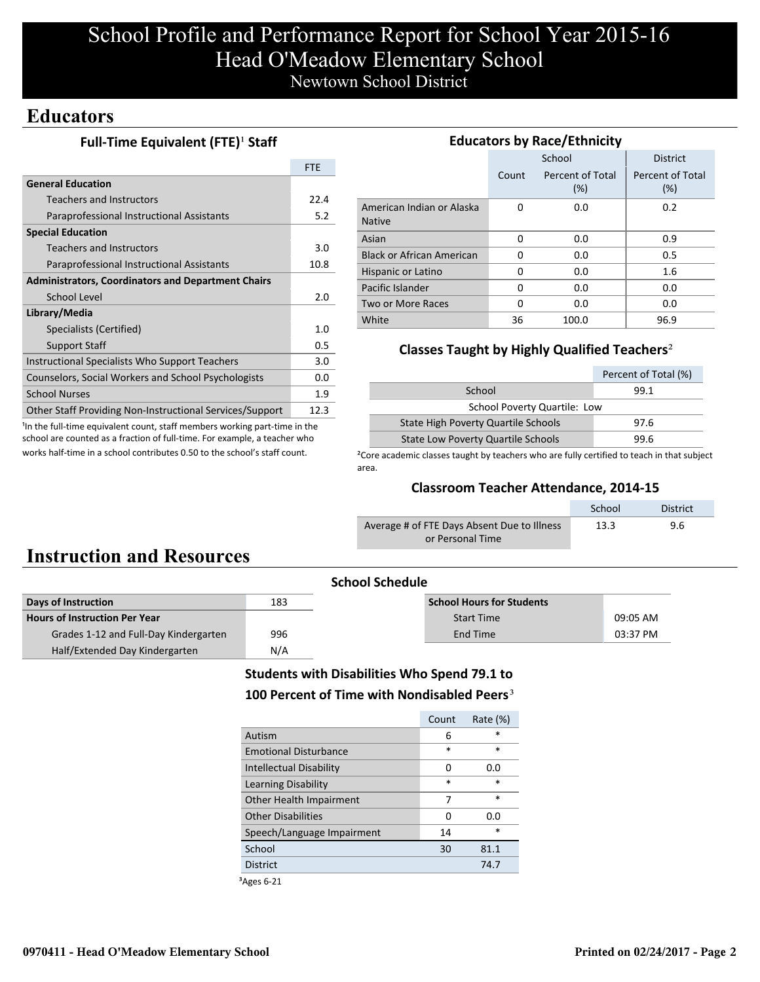## School Profile and Performance Report for School Year 2015-16 Head O'Meadow Elementary School Newtown School District

## **Educators**

### **Full-Time Equivalent (FTE)<sup>1</sup> Staff**

|                                                           | <b>FTE</b> |
|-----------------------------------------------------------|------------|
| <b>General Education</b>                                  |            |
| <b>Teachers and Instructors</b>                           | 22.4       |
| Paraprofessional Instructional Assistants                 | 5.2        |
| <b>Special Education</b>                                  |            |
| <b>Teachers and Instructors</b>                           | 3.0        |
| Paraprofessional Instructional Assistants                 | 10.8       |
| <b>Administrators, Coordinators and Department Chairs</b> |            |
| School Level                                              | 2.0        |
| Library/Media                                             |            |
| Specialists (Certified)                                   | 1.0        |
| <b>Support Staff</b>                                      | 0.5        |
| Instructional Specialists Who Support Teachers            | 3.0        |
| Counselors, Social Workers and School Psychologists       | 0.0        |
| <b>School Nurses</b>                                      | 1.9        |
| Other Staff Providing Non-Instructional Services/Support  | 12.3       |

<sup>1</sup>In the full-time equivalent count, staff members working part-time in the school are counted as a fraction of full-time. For example, a teacher who works half-time in a school contributes 0.50 to the school's staff count.

| <b>Educators by Race/Ethnicity</b>         |          |                         |                         |  |  |  |
|--------------------------------------------|----------|-------------------------|-------------------------|--|--|--|
|                                            |          | School                  | <b>District</b>         |  |  |  |
|                                            | Count    | Percent of Total<br>(%) | Percent of Total<br>(%) |  |  |  |
| American Indian or Alaska<br><b>Native</b> | O        | 0.0                     | 0.2                     |  |  |  |
| Asian                                      | 0        | 0.0                     | 0.9                     |  |  |  |
| <b>Black or African American</b>           | 0        | 0.0                     | 0.5                     |  |  |  |
| Hispanic or Latino                         | 0        | 0.0                     | 1.6                     |  |  |  |
| Pacific Islander                           | O        | 0.0                     | 0.0                     |  |  |  |
| Two or More Races                          | $\Omega$ | 0.0                     | 0.0                     |  |  |  |
| White                                      | 36       | 100.0                   | 96.9                    |  |  |  |

#### **Classes Taught by Highly Qualified Teachers**²

|                                           | Percent of Total (%) |  |
|-------------------------------------------|----------------------|--|
| School                                    | 99.1                 |  |
| <b>School Poverty Quartile: Low</b>       |                      |  |
| State High Poverty Quartile Schools       | 97.6                 |  |
| <b>State Low Poverty Quartile Schools</b> | 99.6                 |  |

<sup>2</sup>Core academic classes taught by teachers who are fully certified to teach in that subject area.

#### **Classroom Teacher Attendance, 2014-15**

|                                             | School | <b>District</b> |
|---------------------------------------------|--------|-----------------|
| Average # of FTE Days Absent Due to Illness | 13.3   | 9.6             |
| or Personal Time                            |        |                 |

## **Instruction and Resources**

|                                       | <b>School Schedule</b> |                                  |          |  |
|---------------------------------------|------------------------|----------------------------------|----------|--|
| Days of Instruction                   | 183                    | <b>School Hours for Students</b> |          |  |
| <b>Hours of Instruction Per Year</b>  |                        | <b>Start Time</b>                | 09:05 AM |  |
| Grades 1-12 and Full-Day Kindergarten | 996                    | End Time                         | 03:37 PM |  |
| Half/Extended Day Kindergarten        | N/A                    |                                  |          |  |

### **Students with Disabilities Who Spend 79.1 to** 100 Percent of Time with Nondisabled Peers<sup>3</sup>

|                                | Count  | Rate $(\%)$ |
|--------------------------------|--------|-------------|
| Autism                         | 6      | $\ast$      |
| <b>Emotional Disturbance</b>   | $\ast$ | $\ast$      |
| <b>Intellectual Disability</b> | O      | 0.0         |
| Learning Disability            | $\ast$ | $\ast$      |
| Other Health Impairment        | 7      | *           |
| <b>Other Disabilities</b>      | O      | 0.O         |
| Speech/Language Impairment     | 14     | $\ast$      |
| School                         | 30     | 81.1        |
| <b>District</b>                |        | 74.7        |

³Ages 6-21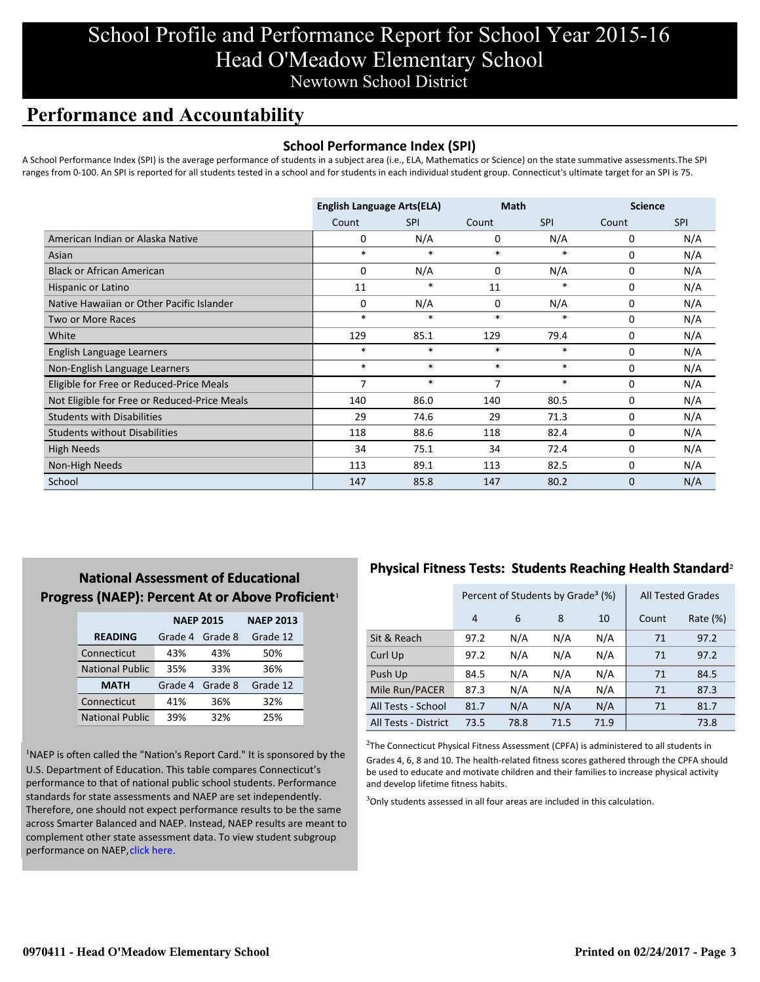## School Profile and Performance Report for School Year 2015-16 Head O'Meadow Elementary School Newtown School District

## **Performance and Accountability**

#### **School Performance Index (SPI)**

A School Performance Index (SPI) is the average performance of students in a subject area (i.e., ELA, Mathematics or Science) on the state summative assessments.The SPI ranges from 0-100. An SPI is reported for all students tested in a school and for students in each individual student group. Connecticut's ultimate target for an SPI is 75.

|                                              | <b>English Language Arts(ELA)</b> |            | <b>Math</b> |            | <b>Science</b> |            |
|----------------------------------------------|-----------------------------------|------------|-------------|------------|----------------|------------|
|                                              | Count                             | <b>SPI</b> | Count       | <b>SPI</b> | Count          | <b>SPI</b> |
| American Indian or Alaska Native             | 0                                 | N/A        | 0           | N/A        | 0              | N/A        |
| Asian                                        | $\ast$                            | $\ast$     | $\ast$      | *          | 0              | N/A        |
| <b>Black or African American</b>             | 0                                 | N/A        | 0           | N/A        | 0              | N/A        |
| Hispanic or Latino                           | 11                                | $\ast$     | 11          | $\ast$     | $\Omega$       | N/A        |
| Native Hawaiian or Other Pacific Islander    | 0                                 | N/A        | $\mathbf 0$ | N/A        | 0              | N/A        |
| <b>Two or More Races</b>                     | $\ast$                            | $\ast$     | $\ast$      | $\ast$     | 0              | N/A        |
| White                                        | 129                               | 85.1       | 129         | 79.4       | 0              | N/A        |
| English Language Learners                    | $\ast$                            | $\ast$     | $\ast$      | $\ast$     | 0              | N/A        |
| Non-English Language Learners                | $\ast$                            | $\ast$     | $\ast$      | $\ast$     | 0              | N/A        |
| Eligible for Free or Reduced-Price Meals     | 7                                 | $\ast$     | 7           | $\ast$     | $\Omega$       | N/A        |
| Not Eligible for Free or Reduced-Price Meals | 140                               | 86.0       | 140         | 80.5       | 0              | N/A        |
| <b>Students with Disabilities</b>            | 29                                | 74.6       | 29          | 71.3       | 0              | N/A        |
| <b>Students without Disabilities</b>         | 118                               | 88.6       | 118         | 82.4       | 0              | N/A        |
| <b>High Needs</b>                            | 34                                | 75.1       | 34          | 72.4       | 0              | N/A        |
| Non-High Needs                               | 113                               | 89.1       | 113         | 82.5       | 0              | N/A        |
| School                                       | 147                               | 85.8       | 147         | 80.2       | 0              | N/A        |

### **National Assessment of Educational Progress (NAEP): Percent At or Above Proficient1**

|                        | <b>NAEP 2015</b>   | <b>NAEP 2013</b> |          |
|------------------------|--------------------|------------------|----------|
| <b>READING</b>         | Grade 4<br>Grade 8 |                  | Grade 12 |
| Connecticut            | 43%                | 43%              | 50%      |
| <b>National Public</b> | 35%                | 33%              | 36%      |
| <b>MATH</b>            | Grade 4            | Grade 8          | Grade 12 |
| Connecticut            | 41%                | 36%              | 32%      |
| <b>National Public</b> | 39%                | 32%              | 25%      |

<sup>1</sup>NAEP is often called the "Nation's Report Card." It is sponsored by the U.S. Department of Education. This table compares Connecticut's performance to that of national public school students. Performance standards for state assessments and NAEP are set independently. Therefore, one should not expect performance results to be the same [across Smarter Balanced and NAEP. Instead, NAEP results are meant to](http://www.sde.ct.gov/sde/lib/sde/pdf/evalresearch/ct_naep_2015_results_by_performance_level.pdf) complement other state assessment data. To view student subgroup performance on NAEP, click here.

### **Physical Fitness Tests: Students Reaching Health Standard**²

|                      | Percent of Students by Grade <sup>3</sup> (%) |      |      |      | <b>All Tested Grades</b> |          |
|----------------------|-----------------------------------------------|------|------|------|--------------------------|----------|
|                      | 4                                             | 6    | 8    | 10   | Count                    | Rate (%) |
| Sit & Reach          | 97.2                                          | N/A  | N/A  | N/A  | 71                       | 97.2     |
| Curl Up              | 97.2                                          | N/A  | N/A  | N/A  | 71                       | 97.2     |
| Push Up              | 84.5                                          | N/A  | N/A  | N/A  | 71                       | 84.5     |
| Mile Run/PACER       | 87.3                                          | N/A  | N/A  | N/A  | 71                       | 87.3     |
| All Tests - School   | 81.7                                          | N/A  | N/A  | N/A  | 71                       | 81.7     |
| All Tests - District | 73.5                                          | 78.8 | 71.5 | 71.9 |                          | 73.8     |

 $2$ The Connecticut Physical Fitness Assessment (CPFA) is administered to all students in Grades 4, 6, 8 and 10. The health-related fitness scores gathered through the CPFA should be used to educate and motivate children and their families to increase physical activity and develop lifetime fitness habits.

<sup>3</sup>Only students assessed in all four areas are included in this calculation.